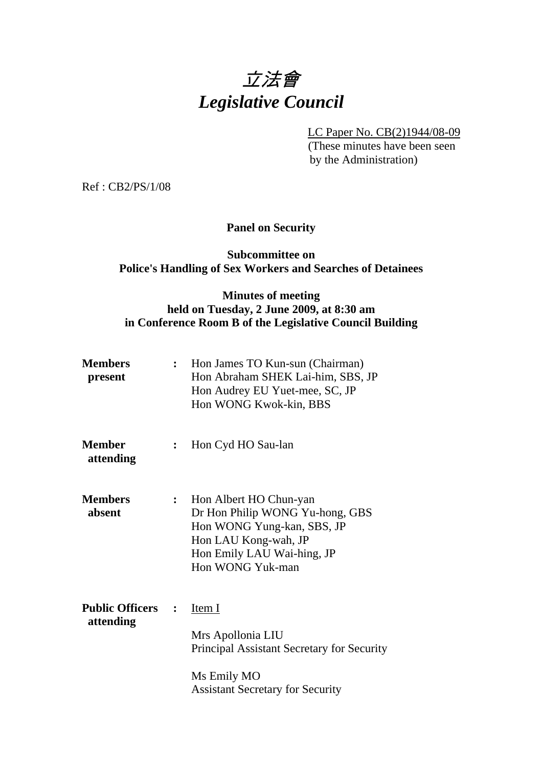

LC Paper No. CB(2)1944/08-09

 (These minutes have been seen by the Administration)

Ref : CB2/PS/1/08

# **Panel on Security**

### **Subcommittee on Police's Handling of Sex Workers and Searches of Detainees**

# **Minutes of meeting held on Tuesday, 2 June 2009, at 8:30 am in Conference Room B of the Legislative Council Building**

| <b>Members</b><br>present           | $\ddot{\cdot}$ | Hon James TO Kun-sun (Chairman)<br>Hon Abraham SHEK Lai-him, SBS, JP<br>Hon Audrey EU Yuet-mee, SC, JP<br>Hon WONG Kwok-kin, BBS                                  |
|-------------------------------------|----------------|-------------------------------------------------------------------------------------------------------------------------------------------------------------------|
| <b>Member</b><br>attending          | $\ddot{\cdot}$ | Hon Cyd HO Sau-lan                                                                                                                                                |
| <b>Members</b><br>absent            | :              | Hon Albert HO Chun-yan<br>Dr Hon Philip WONG Yu-hong, GBS<br>Hon WONG Yung-kan, SBS, JP<br>Hon LAU Kong-wah, JP<br>Hon Emily LAU Wai-hing, JP<br>Hon WONG Yuk-man |
| <b>Public Officers</b><br>attending | $\ddot{\cdot}$ | Item I<br>Mrs Apollonia LIU<br>Principal Assistant Secretary for Security<br>Ms Emily MO<br><b>Assistant Secretary for Security</b>                               |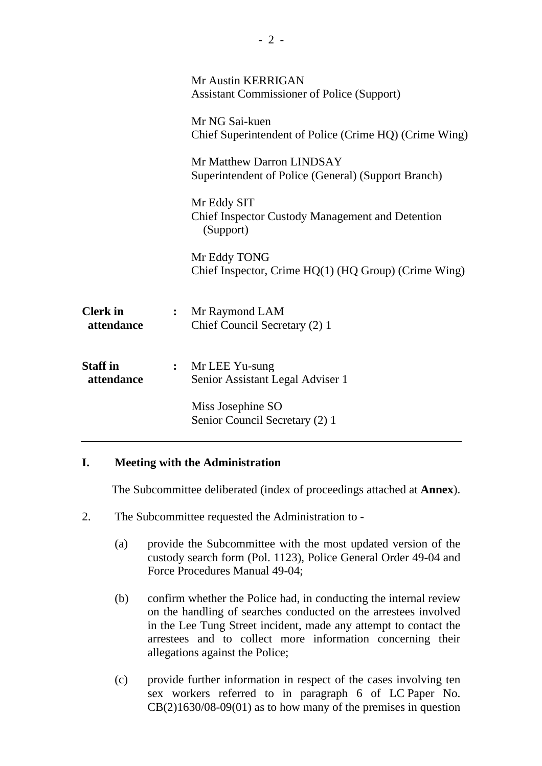|                               |                  | Mr Austin KERRIGAN<br><b>Assistant Commissioner of Police (Support)</b>             |
|-------------------------------|------------------|-------------------------------------------------------------------------------------|
|                               |                  | Mr NG Sai-kuen<br>Chief Superintendent of Police (Crime HQ) (Crime Wing)            |
|                               |                  | Mr Matthew Darron LINDSAY<br>Superintendent of Police (General) (Support Branch)    |
|                               |                  | Mr Eddy SIT<br><b>Chief Inspector Custody Management and Detention</b><br>(Support) |
|                               |                  | Mr Eddy TONG<br>Chief Inspector, Crime HQ(1) (HQ Group) (Crime Wing)                |
| <b>Clerk</b> in<br>attendance | $\ddot{\cdot}$   | Mr Raymond LAM<br>Chief Council Secretary (2) 1                                     |
| <b>Staff</b> in<br>attendance | $\ddot{\bullet}$ | Mr LEE Yu-sung<br>Senior Assistant Legal Adviser 1                                  |
|                               |                  | Miss Josephine SO<br>Senior Council Secretary (2) 1                                 |
|                               |                  |                                                                                     |
|                               |                  |                                                                                     |

### **I. Meeting with the Administration**

1. The Subcommittee deliberated (index of proceedings attached at **Annex**).

- 2. The Subcommittee requested the Administration to
	- (a) provide the Subcommittee with the most updated version of the custody search form (Pol. 1123), Police General Order 49-04 and Force Procedures Manual 49-04;
	- (b) confirm whether the Police had, in conducting the internal review on the handling of searches conducted on the arrestees involved in the Lee Tung Street incident, made any attempt to contact the arrestees and to collect more information concerning their allegations against the Police;
	- (c) provide further information in respect of the cases involving ten sex workers referred to in paragraph 6 of LC Paper No.  $CB(2)1630/08-09(01)$  as to how many of the premises in question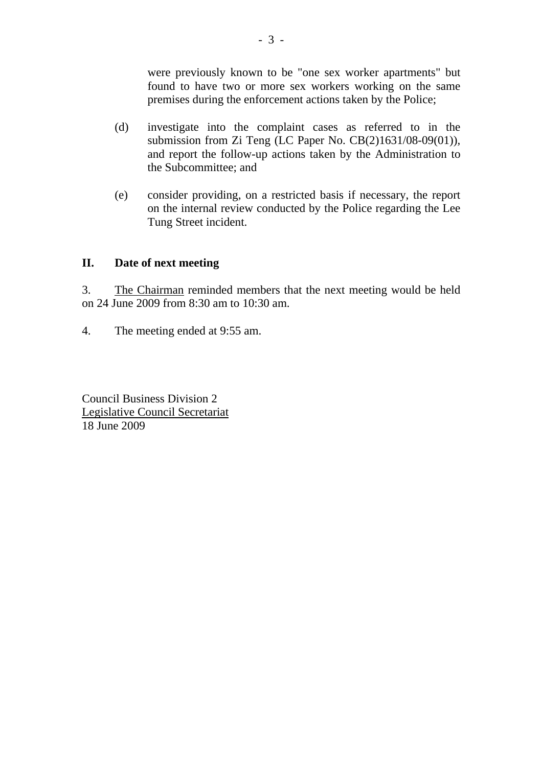were previously known to be "one sex worker apartments" but found to have two or more sex workers working on the same premises during the enforcement actions taken by the Police;

- (d) investigate into the complaint cases as referred to in the submission from Zi Teng (LC Paper No. CB(2)1631/08-09(01)), and report the follow-up actions taken by the Administration to the Subcommittee; and
- (e) consider providing, on a restricted basis if necessary, the report on the internal review conducted by the Police regarding the Lee Tung Street incident.

### **II. Date of next meeting**

3. The Chairman reminded members that the next meeting would be held on 24 June 2009 from 8:30 am to 10:30 am.

4. The meeting ended at 9:55 am.

Council Business Division 2 Legislative Council Secretariat 18 June 2009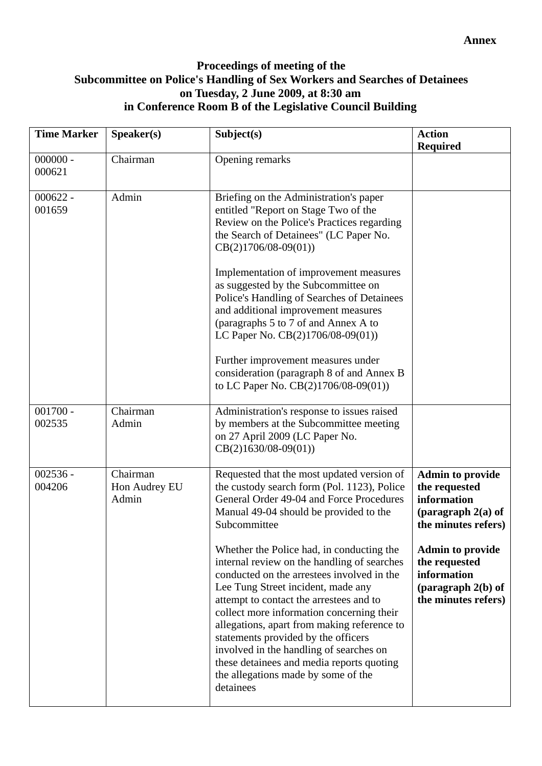## **Proceedings of meeting of the Subcommittee on Police's Handling of Sex Workers and Searches of Detainees on Tuesday, 2 June 2009, at 8:30 am in Conference Room B of the Legislative Council Building**

| <b>Time Marker</b>   | Speaker(s)                         | Subject(s)                                                                                                                                                                                                                                                                                                                                                                                                                                                                                             | <b>Action</b><br><b>Required</b>                                                                       |
|----------------------|------------------------------------|--------------------------------------------------------------------------------------------------------------------------------------------------------------------------------------------------------------------------------------------------------------------------------------------------------------------------------------------------------------------------------------------------------------------------------------------------------------------------------------------------------|--------------------------------------------------------------------------------------------------------|
| $000000 -$<br>000621 | Chairman                           | Opening remarks                                                                                                                                                                                                                                                                                                                                                                                                                                                                                        |                                                                                                        |
| $000622 -$<br>001659 | Admin                              | Briefing on the Administration's paper<br>entitled "Report on Stage Two of the<br>Review on the Police's Practices regarding<br>the Search of Detainees" (LC Paper No.<br>$CB(2)1706/08-09(01))$                                                                                                                                                                                                                                                                                                       |                                                                                                        |
|                      |                                    | Implementation of improvement measures<br>as suggested by the Subcommittee on<br>Police's Handling of Searches of Detainees<br>and additional improvement measures<br>(paragraphs 5 to 7 of and Annex A to<br>LC Paper No. CB(2)1706/08-09(01))                                                                                                                                                                                                                                                        |                                                                                                        |
|                      |                                    | Further improvement measures under<br>consideration (paragraph 8 of and Annex B<br>to LC Paper No. CB(2)1706/08-09(01))                                                                                                                                                                                                                                                                                                                                                                                |                                                                                                        |
| $001700 -$<br>002535 | Chairman<br>Admin                  | Administration's response to issues raised<br>by members at the Subcommittee meeting<br>on 27 April 2009 (LC Paper No.<br>$CB(2)1630/08-09(01))$                                                                                                                                                                                                                                                                                                                                                       |                                                                                                        |
| $002536 -$<br>004206 | Chairman<br>Hon Audrey EU<br>Admin | Requested that the most updated version of<br>the custody search form (Pol. 1123), Police<br>General Order 49-04 and Force Procedures<br>Manual 49-04 should be provided to the<br>Subcommittee                                                                                                                                                                                                                                                                                                        | <b>Admin to provide</b><br>the requested<br>information<br>(paragraph $2(a)$ of<br>the minutes refers) |
|                      |                                    | Whether the Police had, in conducting the<br>internal review on the handling of searches<br>conducted on the arrestees involved in the<br>Lee Tung Street incident, made any<br>attempt to contact the arrestees and to<br>collect more information concerning their<br>allegations, apart from making reference to<br>statements provided by the officers<br>involved in the handling of searches on<br>these detainees and media reports quoting<br>the allegations made by some of the<br>detainees | <b>Admin to provide</b><br>the requested<br>information<br>(paragraph $2(b)$ of<br>the minutes refers) |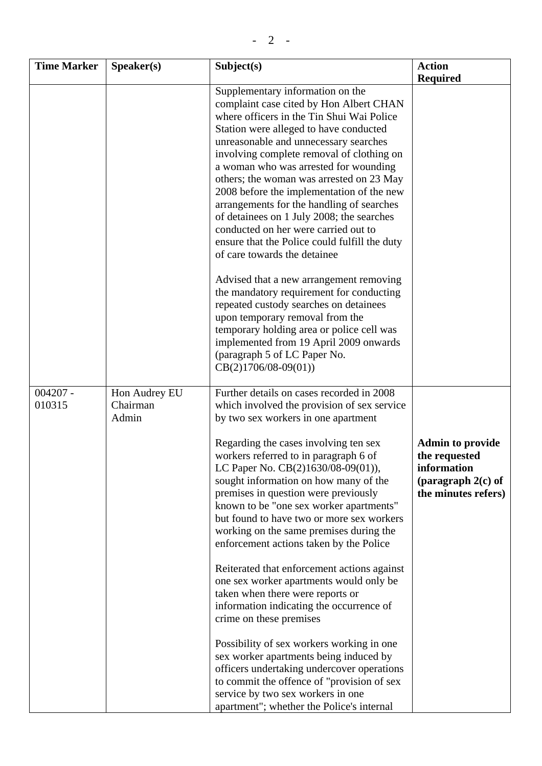| <b>Time Marker</b>   | Speaker(s)                         | Subject(s)                                                                                                                                                                                                                                                                                                                                                                                                                                                                                                                                                                                                    | <b>Action</b><br><b>Required</b>                                                                       |
|----------------------|------------------------------------|---------------------------------------------------------------------------------------------------------------------------------------------------------------------------------------------------------------------------------------------------------------------------------------------------------------------------------------------------------------------------------------------------------------------------------------------------------------------------------------------------------------------------------------------------------------------------------------------------------------|--------------------------------------------------------------------------------------------------------|
|                      |                                    | Supplementary information on the<br>complaint case cited by Hon Albert CHAN<br>where officers in the Tin Shui Wai Police<br>Station were alleged to have conducted<br>unreasonable and unnecessary searches<br>involving complete removal of clothing on<br>a woman who was arrested for wounding<br>others; the woman was arrested on 23 May<br>2008 before the implementation of the new<br>arrangements for the handling of searches<br>of detainees on 1 July 2008; the searches<br>conducted on her were carried out to<br>ensure that the Police could fulfill the duty<br>of care towards the detainee |                                                                                                        |
|                      |                                    | Advised that a new arrangement removing<br>the mandatory requirement for conducting<br>repeated custody searches on detainees<br>upon temporary removal from the<br>temporary holding area or police cell was<br>implemented from 19 April 2009 onwards<br>(paragraph 5 of LC Paper No.<br>$CB(2)1706/08-09(01))$                                                                                                                                                                                                                                                                                             |                                                                                                        |
| $004207 -$<br>010315 | Hon Audrey EU<br>Chairman<br>Admin | Further details on cases recorded in 2008<br>which involved the provision of sex service<br>by two sex workers in one apartment                                                                                                                                                                                                                                                                                                                                                                                                                                                                               |                                                                                                        |
|                      |                                    | Regarding the cases involving ten sex<br>workers referred to in paragraph 6 of<br>LC Paper No. CB(2)1630/08-09(01)),<br>sought information on how many of the<br>premises in question were previously<br>known to be "one sex worker apartments"<br>but found to have two or more sex workers<br>working on the same premises during the<br>enforcement actions taken by the Police<br>Reiterated that enforcement actions against<br>one sex worker apartments would only be                                                                                                                                 | <b>Admin to provide</b><br>the requested<br>information<br>(paragraph $2(c)$ of<br>the minutes refers) |
|                      |                                    | taken when there were reports or<br>information indicating the occurrence of<br>crime on these premises<br>Possibility of sex workers working in one<br>sex worker apartments being induced by<br>officers undertaking undercover operations<br>to commit the offence of "provision of sex<br>service by two sex workers in one<br>apartment"; whether the Police's internal                                                                                                                                                                                                                                  |                                                                                                        |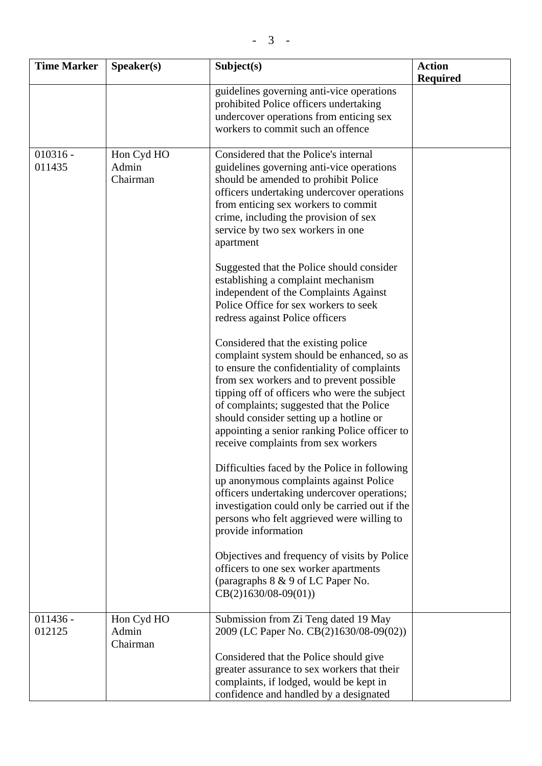| <b>Time Marker</b>   | Speaker(s)                      | Subject(s)                                                                                                                                                                                                                                                                                                                                                                                                  | <b>Action</b><br><b>Required</b> |
|----------------------|---------------------------------|-------------------------------------------------------------------------------------------------------------------------------------------------------------------------------------------------------------------------------------------------------------------------------------------------------------------------------------------------------------------------------------------------------------|----------------------------------|
|                      |                                 | guidelines governing anti-vice operations<br>prohibited Police officers undertaking<br>undercover operations from enticing sex<br>workers to commit such an offence                                                                                                                                                                                                                                         |                                  |
| $010316 -$<br>011435 | Hon Cyd HO<br>Admin<br>Chairman | Considered that the Police's internal<br>guidelines governing anti-vice operations<br>should be amended to prohibit Police<br>officers undertaking undercover operations<br>from enticing sex workers to commit<br>crime, including the provision of sex<br>service by two sex workers in one<br>apartment<br>Suggested that the Police should consider                                                     |                                  |
|                      |                                 | establishing a complaint mechanism<br>independent of the Complaints Against<br>Police Office for sex workers to seek<br>redress against Police officers                                                                                                                                                                                                                                                     |                                  |
|                      |                                 | Considered that the existing police<br>complaint system should be enhanced, so as<br>to ensure the confidentiality of complaints<br>from sex workers and to prevent possible<br>tipping off of officers who were the subject<br>of complaints; suggested that the Police<br>should consider setting up a hotline or<br>appointing a senior ranking Police officer to<br>receive complaints from sex workers |                                  |
|                      |                                 | Difficulties faced by the Police in following<br>up anonymous complaints against Police<br>officers undertaking undercover operations;<br>investigation could only be carried out if the<br>persons who felt aggrieved were willing to<br>provide information                                                                                                                                               |                                  |
|                      |                                 | Objectives and frequency of visits by Police<br>officers to one sex worker apartments<br>(paragraphs 8 & 9 of LC Paper No.<br>$CB(2)1630/08-09(01))$                                                                                                                                                                                                                                                        |                                  |
| $011436 -$<br>012125 | Hon Cyd HO<br>Admin<br>Chairman | Submission from Zi Teng dated 19 May<br>2009 (LC Paper No. CB(2)1630/08-09(02))<br>Considered that the Police should give<br>greater assurance to sex workers that their<br>complaints, if lodged, would be kept in<br>confidence and handled by a designated                                                                                                                                               |                                  |